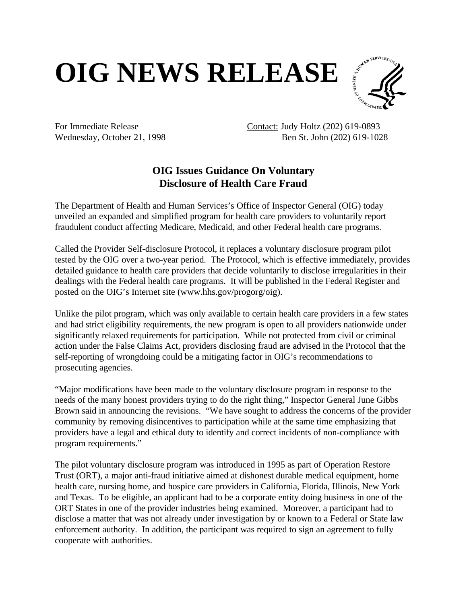## **OIG NEWS RELEASE**



For Immediate Release Contact: Judy Holtz (202) 619-0893 Wednesday, October 21, 1998 Ben St. John (202) 619-1028

## **OIG Issues Guidance On Voluntary Disclosure of Health Care Fraud**

The Department of Health and Human Services's Office of Inspector General (OIG) today unveiled an expanded and simplified program for health care providers to voluntarily report fraudulent conduct affecting Medicare, Medicaid, and other Federal health care programs.

Called the Provider Self-disclosure Protocol, it replaces a voluntary disclosure program pilot tested by the OIG over a two-year period. The Protocol, which is effective immediately, provides detailed guidance to health care providers that decide voluntarily to disclose irregularities in their dealings with the Federal health care programs. It will be published in the Federal Register and posted on the OIG's Internet site (www.hhs.gov/progorg/oig).

Unlike the pilot program, which was only available to certain health care providers in a few states and had strict eligibility requirements, the new program is open to all providers nationwide under significantly relaxed requirements for participation. While not protected from civil or criminal action under the False Claims Act, providers disclosing fraud are advised in the Protocol that the self-reporting of wrongdoing could be a mitigating factor in OIG's recommendations to prosecuting agencies.

"Major modifications have been made to the voluntary disclosure program in response to the needs of the many honest providers trying to do the right thing," Inspector General June Gibbs Brown said in announcing the revisions. "We have sought to address the concerns of the provider community by removing disincentives to participation while at the same time emphasizing that providers have a legal and ethical duty to identify and correct incidents of non-compliance with program requirements."

The pilot voluntary disclosure program was introduced in 1995 as part of Operation Restore Trust (ORT), a major anti-fraud initiative aimed at dishonest durable medical equipment, home health care, nursing home, and hospice care providers in California, Florida, Illinois, New York and Texas. To be eligible, an applicant had to be a corporate entity doing business in one of the ORT States in one of the provider industries being examined. Moreover, a participant had to disclose a matter that was not already under investigation by or known to a Federal or State law enforcement authority. In addition, the participant was required to sign an agreement to fully cooperate with authorities.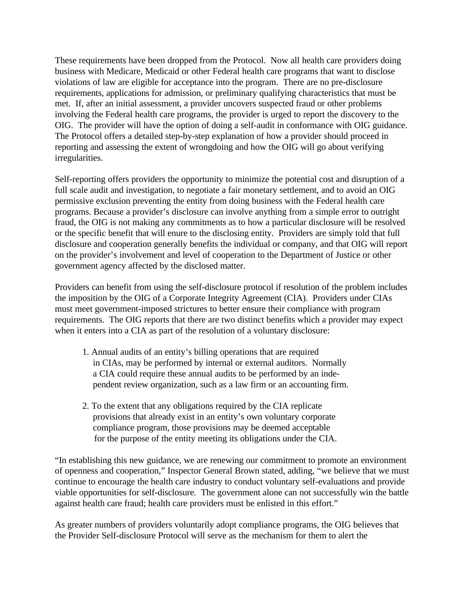These requirements have been dropped from the Protocol. Now all health care providers doing business with Medicare, Medicaid or other Federal health care programs that want to disclose violations of law are eligible for acceptance into the program. There are no pre-disclosure requirements, applications for admission, or preliminary qualifying characteristics that must be met. If, after an initial assessment, a provider uncovers suspected fraud or other problems involving the Federal health care programs, the provider is urged to report the discovery to the OIG. The provider will have the option of doing a self-audit in conformance with OIG guidance. The Protocol offers a detailed step-by-step explanation of how a provider should proceed in reporting and assessing the extent of wrongdoing and how the OIG will go about verifying irregularities.

Self-reporting offers providers the opportunity to minimize the potential cost and disruption of a full scale audit and investigation, to negotiate a fair monetary settlement, and to avoid an OIG permissive exclusion preventing the entity from doing business with the Federal health care programs. Because a provider's disclosure can involve anything from a simple error to outright fraud, the OIG is not making any commitments as to how a particular disclosure will be resolved or the specific benefit that will enure to the disclosing entity. Providers are simply told that full disclosure and cooperation generally benefits the individual or company, and that OIG will report on the provider's involvement and level of cooperation to the Department of Justice or other government agency affected by the disclosed matter.

Providers can benefit from using the self-disclosure protocol if resolution of the problem includes the imposition by the OIG of a Corporate Integrity Agreement (CIA). Providers under CIAs must meet government-imposed strictures to better ensure their compliance with program requirements. The OIG reports that there are two distinct benefits which a provider may expect when it enters into a CIA as part of the resolution of a voluntary disclosure:

- 1. Annual audits of an entity's billing operations that are required in CIAs, may be performed by internal or external auditors. Normally a CIA could require these annual audits to be performed by an inde pendent review organization, such as a law firm or an accounting firm.
- 2. To the extent that any obligations required by the CIA replicate provisions that already exist in an entity's own voluntary corporate compliance program, those provisions may be deemed acceptable for the purpose of the entity meeting its obligations under the CIA.

"In establishing this new guidance, we are renewing our commitment to promote an environment of openness and cooperation," Inspector General Brown stated, adding, "we believe that we must continue to encourage the health care industry to conduct voluntary self-evaluations and provide viable opportunities for self-disclosure. The government alone can not successfully win the battle against health care fraud; health care providers must be enlisted in this effort."

As greater numbers of providers voluntarily adopt compliance programs, the OIG believes that the Provider Self-disclosure Protocol will serve as the mechanism for them to alert the